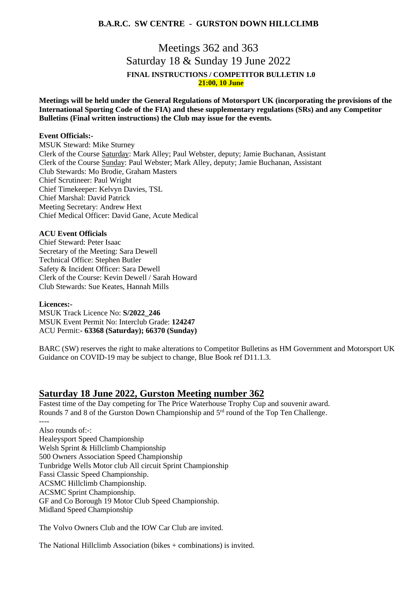# **B.A.R.C. SW CENTRE - GURSTON DOWN HILLCLIMB**

# Meetings 362 and 363 Saturday 18 & Sunday 19 June 2022 **FINAL INSTRUCTIONS / COMPETITOR BULLETIN 1.0 21:00, 10 June**

**Meetings will be held under the General Regulations of Motorsport UK (incorporating the provisions of the International Sporting Code of the FIA) and these supplementary regulations (SRs) and any Competitor Bulletins (Final written instructions) the Club may issue for the events.**

### **Event Officials:-**

MSUK Steward: Mike Sturney Clerk of the Course Saturday: Mark Alley; Paul Webster, deputy; Jamie Buchanan, Assistant Clerk of the Course Sunday: Paul Webster; Mark Alley, deputy; Jamie Buchanan, Assistant Club Stewards: Mo Brodie, Graham Masters Chief Scrutineer: Paul Wright Chief Timekeeper: Kelvyn Davies, TSL Chief Marshal: David Patrick Meeting Secretary: Andrew Hext Chief Medical Officer: David Gane, Acute Medical

### **ACU Event Officials**

Chief Steward: Peter Isaac Secretary of the Meeting: Sara Dewell Technical Office: Stephen Butler Safety & Incident Officer: Sara Dewell Clerk of the Course: Kevin Dewell / Sarah Howard Club Stewards: Sue Keates, Hannah Mills

#### **Licences:-**

MSUK Track Licence No: **S/2022\_246** MSUK Event Permit No: Interclub Grade: **124247** ACU Permit:**- 63368 (Saturday); 66370 (Sunday)**

BARC (SW) reserves the right to make alterations to Competitor Bulletins as HM Government and Motorsport UK Guidance on COVID-19 may be subject to change, Blue Book ref D11.1.3.

## **Saturday 18 June 2022, Gurston Meeting number 362**

Fastest time of the Day competing for The Price Waterhouse Trophy Cup and souvenir award. Rounds 7 and 8 of the Gurston Down Championship and 5<sup>rd</sup> round of the Top Ten Challenge. ----

Also rounds of:-: Healeysport Speed Championship Welsh Sprint & Hillclimb Championship 500 Owners Association Speed Championship Tunbridge Wells Motor club All circuit Sprint Championship Fassi Classic Speed Championship. ACSMC Hillclimb Championship. ACSMC Sprint Championship. GF and Co Borough 19 Motor Club Speed Championship. Midland Speed Championship

The Volvo Owners Club and the IOW Car Club are invited.

The National Hillclimb Association (bikes + combinations) is invited.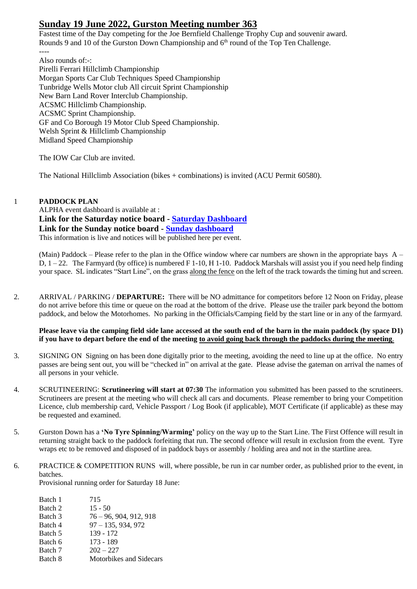# **Sunday 19 June 2022, Gurston Meeting number 363**

Fastest time of the Day competing for the Joe Bernfield Challenge Trophy Cup and souvenir award. Rounds 9 and 10 of the Gurston Down Championship and 6<sup>th</sup> round of the Top Ten Challenge. ----

Also rounds of:-: Pirelli Ferrari Hillclimb Championship Morgan Sports Car Club Techniques Speed Championship Tunbridge Wells Motor club All circuit Sprint Championship New Barn Land Rover Interclub Championship. ACSMC Hillclimb Championship. ACSMC Sprint Championship. GF and Co Borough 19 Motor Club Speed Championship. Welsh Sprint & Hillclimb Championship Midland Speed Championship

The IOW Car Club are invited.

The National Hillclimb Association (bikes + combinations) is invited (ACU Permit 60580).

## 1 **PADDOCK PLAN**

ALPHA event dashboard is available at : **Link for the Saturday notice board - [Saturday Dashboard](https://gurstondown.alphatiming.co.uk/noticeboard/6345) Link for the Sunday notice board - [Sunday dashboard](https://gurstondown.alphatiming.co.uk/noticeboard/6346)** This information is live and notices will be published here per event.

(Main) Paddock – Please refer to the plan in the Office window where car numbers are shown in the appropriate bays  $A -$ D,  $1 - 22$ . The Farmyard (by office) is numbered F 1-10, H 1-10. Paddock Marshals will assist you if you need help finding your space. SL indicates "Start Line", on the grass along the fence on the left of the track towards the timing hut and screen.

2. ARRIVAL / PARKING / **DEPARTURE:** There will be NO admittance for competitors before 12 Noon on Friday, please do not arrive before this time or queue on the road at the bottom of the drive.Please use the trailer park beyond the bottom paddock, and below the Motorhomes. No parking in the Officials/Camping field by the start line or in any of the farmyard.

## **Please leave via the camping field side lane accessed at the south end of the barn in the main paddock (by space D1) if you have to depart before the end of the meeting to avoid going back through the paddocks during the meeting**.

- 3. SIGNING ON Signing on has been done digitally prior to the meeting, avoiding the need to line up at the office. No entry passes are being sent out, you will be "checked in" on arrival at the gate. Please advise the gateman on arrival the names of all persons in your vehicle.
- 4. SCRUTINEERING: **Scrutineering will start at 07:30** The information you submitted has been passed to the scrutineers. Scrutineers are present at the meeting who will check all cars and documents. Please remember to bring your Competition Licence, club membership card, Vehicle Passport / Log Book (if applicable), MOT Certificate (if applicable) as these may be requested and examined.
- 5. Gurston Down has a **'No Tyre Spinning/Warming'** policy on the way up to the Start Line. The First Offence will result in returning straight back to the paddock forfeiting that run. The second offence will result in exclusion from the event. Tyre wraps etc to be removed and disposed of in paddock bays or assembly / holding area and not in the startline area.
- 6. PRACTICE & COMPETITION RUNS will, where possible, be run in car number order, as published prior to the event, in batches.

Provisional running order for Saturday 18 June:

Batch 1 715 Batch 2 15 - 50 Batch 3 76 – 96, 904, 912, 918 Batch 4 97 – 135, 934, 972 Batch 5 139 - 172 Batch 6 173 - 189 Batch 7 202 – 227 Batch 8 Motorbikes and Sidecars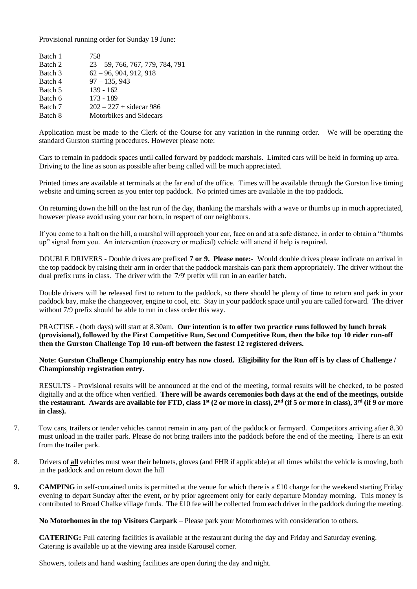Provisional running order for Sunday 19 June:

| Batch 1 | 758                                |
|---------|------------------------------------|
| Batch 2 | $23 - 59, 766, 767, 779, 784, 791$ |
| Batch 3 | $62 - 96, 904, 912, 918$           |
| Batch 4 | $97 - 135, 943$                    |
| Batch 5 | $139 - 162$                        |
| Batch 6 | 173 - 189                          |
| Batch 7 | $202 - 227 + \text{sidecar } 986$  |
| Batch 8 | Motorbikes and Sidecars            |
|         |                                    |

Application must be made to the Clerk of the Course for any variation in the running order. We will be operating the standard Gurston starting procedures. However please note:

Cars to remain in paddock spaces until called forward by paddock marshals. Limited cars will be held in forming up area. Driving to the line as soon as possible after being called will be much appreciated.

Printed times are available at terminals at the far end of the office. Times will be available through the Gurston live timing website and timing screen as you enter top paddock. No printed times are available in the top paddock.

On returning down the hill on the last run of the day, thanking the marshals with a wave or thumbs up in much appreciated, however please avoid using your car horn, in respect of our neighbours.

If you come to a halt on the hill, a marshal will approach your car, face on and at a safe distance, in order to obtain a "thumbs up" signal from you. An intervention (recovery or medical) vehicle will attend if help is required.

DOUBLE DRIVERS - Double drives are prefixed **7 or 9. Please note:-** Would double drives please indicate on arrival in the top paddock by raising their arm in order that the paddock marshals can park them appropriately. The driver without the dual prefix runs in class. The driver with the '7/9' prefix will run in an earlier batch.

Double drivers will be released first to return to the paddock, so there should be plenty of time to return and park in your paddock bay, make the changeover, engine to cool, etc. Stay in your paddock space until you are called forward. The driver without 7/9 prefix should be able to run in class order this way.

PRACTISE - (both days) will start at 8.30am. **Our intention is to offer two practice runs followed by lunch break (provisional), followed by the First Competitive Run, Second Competitive Run, then the bike top 10 rider run-off then the Gurston Challenge Top 10 run-off between the fastest 12 registered drivers.** 

**Note: Gurston Challenge Championship entry has now closed. Eligibility for the Run off is by class of Challenge / Championship registration entry.** 

RESULTS - Provisional results will be announced at the end of the meeting, formal results will be checked, to be posted digitally and at the office when verified. **There will be awards ceremonies both days at the end of the meetings, outside the restaurant. Awards are available for FTD, class 1st (2 or more in class), 2nd (if 5 or more in class), 3rd (if 9 or more in class).**

- 7. Tow cars, trailers or tender vehicles cannot remain in any part of the paddock or farmyard. Competitors arriving after 8.30 must unload in the trailer park. Please do not bring trailers into the paddock before the end of the meeting. There is an exit from the trailer park.
- 8. Drivers of **all** vehicles must wear their helmets, gloves (and FHR if applicable) at all times whilst the vehicle is moving, both in the paddock and on return down the hill
- **9. CAMPING** in self-contained units is permitted at the venue for which there is a £10 charge for the weekend starting Friday evening to depart Sunday after the event, or by prior agreement only for early departure Monday morning. This money is contributed to Broad Chalke village funds. The £10 fee will be collected from each driver in the paddock during the meeting.

**No Motorhomes in the top Visitors Carpark** – Please park your Motorhomes with consideration to others.

**CATERING:** Full catering facilities is available at the restaurant during the day and Friday and Saturday evening. Catering is available up at the viewing area inside Karousel corner.

Showers, toilets and hand washing facilities are open during the day and night.